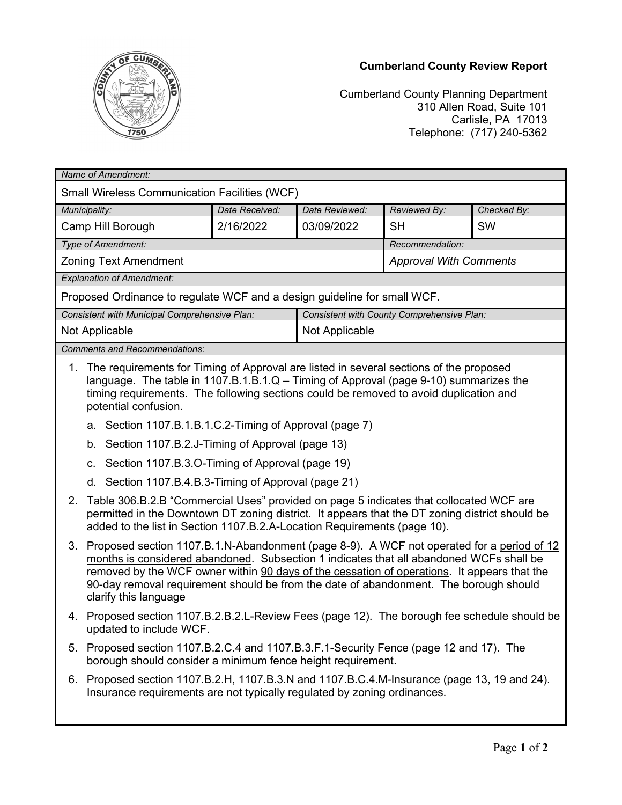

## **Cumberland County Review Report**

Cumberland County Planning Department 310 Allen Road, Suite 101 Carlisle, PA 17013 Telephone: (717) 240-5362

| Name of Amendment:                                                                                                                                                                                                                                                                                                 |                                                                                                                                                                                                                                                                                                                                                                                                          |  |                                            |                               |             |  |
|--------------------------------------------------------------------------------------------------------------------------------------------------------------------------------------------------------------------------------------------------------------------------------------------------------------------|----------------------------------------------------------------------------------------------------------------------------------------------------------------------------------------------------------------------------------------------------------------------------------------------------------------------------------------------------------------------------------------------------------|--|--------------------------------------------|-------------------------------|-------------|--|
| <b>Small Wireless Communication Facilities (WCF)</b>                                                                                                                                                                                                                                                               |                                                                                                                                                                                                                                                                                                                                                                                                          |  |                                            |                               |             |  |
| Municipality:<br>Date Received:                                                                                                                                                                                                                                                                                    |                                                                                                                                                                                                                                                                                                                                                                                                          |  | Date Reviewed:                             | Reviewed By:                  | Checked By: |  |
| Camp Hill Borough<br>2/16/2022                                                                                                                                                                                                                                                                                     |                                                                                                                                                                                                                                                                                                                                                                                                          |  | 03/09/2022                                 | <b>SH</b>                     | <b>SW</b>   |  |
|                                                                                                                                                                                                                                                                                                                    | Type of Amendment:                                                                                                                                                                                                                                                                                                                                                                                       |  |                                            | Recommendation:               |             |  |
|                                                                                                                                                                                                                                                                                                                    | <b>Zoning Text Amendment</b>                                                                                                                                                                                                                                                                                                                                                                             |  |                                            | <b>Approval With Comments</b> |             |  |
| <b>Explanation of Amendment:</b>                                                                                                                                                                                                                                                                                   |                                                                                                                                                                                                                                                                                                                                                                                                          |  |                                            |                               |             |  |
| Proposed Ordinance to regulate WCF and a design guideline for small WCF.                                                                                                                                                                                                                                           |                                                                                                                                                                                                                                                                                                                                                                                                          |  |                                            |                               |             |  |
| Consistent with Municipal Comprehensive Plan:                                                                                                                                                                                                                                                                      |                                                                                                                                                                                                                                                                                                                                                                                                          |  | Consistent with County Comprehensive Plan: |                               |             |  |
| Not Applicable                                                                                                                                                                                                                                                                                                     |                                                                                                                                                                                                                                                                                                                                                                                                          |  | Not Applicable                             |                               |             |  |
| <b>Comments and Recommendations:</b>                                                                                                                                                                                                                                                                               |                                                                                                                                                                                                                                                                                                                                                                                                          |  |                                            |                               |             |  |
| The requirements for Timing of Approval are listed in several sections of the proposed<br>1 <sub>1</sub><br>language. The table in 1107.B.1.B.1.Q - Timing of Approval (page 9-10) summarizes the<br>timing requirements. The following sections could be removed to avoid duplication and<br>potential confusion. |                                                                                                                                                                                                                                                                                                                                                                                                          |  |                                            |                               |             |  |
|                                                                                                                                                                                                                                                                                                                    | a. Section 1107.B.1.B.1.C.2-Timing of Approval (page 7)                                                                                                                                                                                                                                                                                                                                                  |  |                                            |                               |             |  |
|                                                                                                                                                                                                                                                                                                                    | b. Section 1107.B.2.J-Timing of Approval (page 13)                                                                                                                                                                                                                                                                                                                                                       |  |                                            |                               |             |  |
|                                                                                                                                                                                                                                                                                                                    | Section 1107.B.3.O-Timing of Approval (page 19)<br>C.                                                                                                                                                                                                                                                                                                                                                    |  |                                            |                               |             |  |
|                                                                                                                                                                                                                                                                                                                    | d. Section 1107.B.4.B.3-Timing of Approval (page 21)                                                                                                                                                                                                                                                                                                                                                     |  |                                            |                               |             |  |
| 2.                                                                                                                                                                                                                                                                                                                 | Table 306.B.2.B "Commercial Uses" provided on page 5 indicates that collocated WCF are<br>permitted in the Downtown DT zoning district. It appears that the DT zoning district should be<br>added to the list in Section 1107.B.2.A-Location Requirements (page 10).                                                                                                                                     |  |                                            |                               |             |  |
|                                                                                                                                                                                                                                                                                                                    | 3. Proposed section 1107.B.1.N-Abandonment (page 8-9). A WCF not operated for a period of 12<br>months is considered abandoned. Subsection 1 indicates that all abandoned WCFs shall be<br>removed by the WCF owner within 90 days of the cessation of operations. It appears that the<br>90-day removal requirement should be from the date of abandonment. The borough should<br>clarify this language |  |                                            |                               |             |  |
|                                                                                                                                                                                                                                                                                                                    | 4. Proposed section 1107.B.2.B.2.L-Review Fees (page 12). The borough fee schedule should be<br>updated to include WCF.                                                                                                                                                                                                                                                                                  |  |                                            |                               |             |  |
|                                                                                                                                                                                                                                                                                                                    | 5. Proposed section 1107.B.2.C.4 and 1107.B.3.F.1-Security Fence (page 12 and 17). The<br>borough should consider a minimum fence height requirement.                                                                                                                                                                                                                                                    |  |                                            |                               |             |  |
|                                                                                                                                                                                                                                                                                                                    | 6. Proposed section 1107.B.2.H, 1107.B.3.N and 1107.B.C.4.M-Insurance (page 13, 19 and 24).<br>Insurance requirements are not typically regulated by zoning ordinances.                                                                                                                                                                                                                                  |  |                                            |                               |             |  |